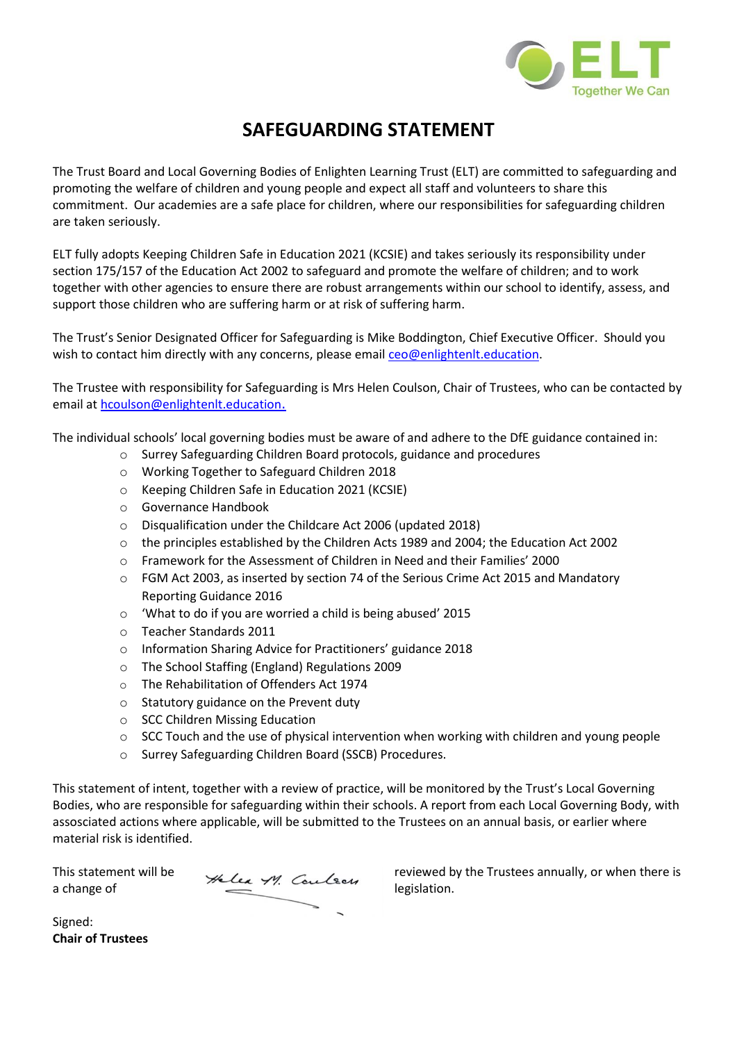

## **SAFEGUARDING STATEMENT**

The Trust Board and Local Governing Bodies of Enlighten Learning Trust (ELT) are committed to safeguarding and promoting the welfare of children and young people and expect all staff and volunteers to share this commitment. Our academies are a safe place for children, where our responsibilities for safeguarding children are taken seriously.

ELT fully adopts [Keeping Children Safe in Education 2021](https://www.gov.uk/government/publications/keeping-children-safe-in-education) [\(KCSIE\)](https://www.gov.uk/government/publications/keeping-children-safe-in-education) and takes seriously its responsibility under section 175/157 of the Education Act 2002 to safeguard and promote the welfare of children; and to work together with other agencies to ensure there are robust arrangements within our school to identify, assess, and support those children who are suffering harm or at risk of suffering harm.

The Trust's Senior Designated Officer for Safeguarding is Mike Boddington, Chief Executive Officer. Should you wish to contact him directly with any concerns, please emai[l ceo@enlightenlt.education.](mailto:ceo@enlightenlt.education)

The Trustee with responsibility for Safeguarding is Mrs Helen Coulson, Chair of Trustees, who can be contacted by email at [hcoulson@enlightenlt.education](mailto:hcoulson@enlightenlt.education).

The individual schools' local governing bodies must be aware of and adhere to the DfE guidance contained in:

- o [Surrey](http://www.surreyscb.org.uk/) [Safeguarding Children Board protocols, guidance and procedures](http://www.surreyscb.org.uk/)
	- o [Working Together to Safeguard Children 2018](https://www.gov.uk/government/publications/working-together-to-safeguard-children--2)
	- o [Keeping Children Safe in Education 2021](https://www.gov.uk/government/publications/keeping-children-safe-in-education) [\(KCSIE\)](https://www.gov.uk/government/publications/keeping-children-safe-in-education)
	- o Governance Handbook
	- o [Disqualification under the Childcare Act 2006 \(updated 2018\)](https://www.gov.uk/government/publications/disqualification-under-the-childcare-act-2006/disqualification-under-the-childcare-act-2006)
	- o the principles established by the Children Acts 1989 and 2004; the Education Act 2002
	- o Framework for the Assessment of Children in Need and their Families' 2000
	- o [FGM Act 2003, as inserted by section 74 of the Serious Crime Act 2015](https://www.gov.uk/government/publications/mandatory-reporting-of-female-genital-mutilation-procedural-information) and Mandatory [Reporting Guidance 2016](https://www.gov.uk/government/publications/mandatory-reporting-of-female-genital-mutilation-procedural-information)
	- o ['What to do if you are worried a child is being abused'](https://assets.publishing.service.gov.uk/government/uploads/system/uploads/attachment_data/file/419604/What_to_do_if_you_re_worried_a_child_is_being_abused.pdf) [2015](https://assets.publishing.service.gov.uk/government/uploads/system/uploads/attachment_data/file/419604/What_to_do_if_you_re_worried_a_child_is_being_abused.pdf)
	- o [Teacher Standards](https://assets.publishing.service.gov.uk/government/uploads/system/uploads/attachment_data/file/665520/Teachers__Standards.pdf) [2011](https://assets.publishing.service.gov.uk/government/uploads/system/uploads/attachment_data/file/665520/Teachers__Standards.pdf)
	- o [Information Sharing Advice for Practitioners' guidance 201](https://www.gov.uk/government/publications/safeguarding-practitioners-information-sharing-advice)[8](https://www.gov.uk/government/publications/safeguarding-practitioners-information-sharing-advice)
	- o [The School Staffing \(England\) Regulations 2009](http://www.legislation.gov.uk/uksi/2009/2680/contents/made)
	- o [The Rehabilitation of Offenders Act 1974](http://www.legislation.gov.uk/ukpga/1974/53)
	- o [Statutory guidance on the Prevent duty](https://www.gov.uk/government/publications/prevent-duty-guidance)
	- o [SCC Children Missing Education](https://www.surreycc.gov.uk/__data/assets/pdf_file/0005/109589/Final-CME-Policy-2017-ver-2-updated-nov17.pdf)
	- o [SCC Touch and the use of physical intervention when working with children and](https://www.surreycc.gov.uk/__data/assets/word_doc/0019/153442/Touch-and-the-use-of-restrictive-physical-intervention-when-working-with-children-December-2017.docx) [young people](https://www.surreycc.gov.uk/__data/assets/word_doc/0019/153442/Touch-and-the-use-of-restrictive-physical-intervention-when-working-with-children-December-2017.docx)
	- o Surrey Safeguarding Children Board (SSCB) Procedures.

This statement of intent, together with a review of practice, will be monitored by the Trust's Local Governing Bodies, who are responsible for safeguarding within their schools. A report from each Local Governing Body, with assosciated actions where applicable, will be submitted to the Trustees on an annual basis, or earlier where material risk is identified.

This statement will be  $\frac{1}{2}$   $\frac{1}{2}$   $\frac{1}{2}$   $\frac{1}{2}$   $\frac{1}{2}$   $\frac{1}{2}$   $\frac{1}{2}$   $\frac{1}{2}$   $\frac{1}{2}$   $\frac{1}{2}$   $\frac{1}{2}$   $\frac{1}{2}$   $\frac{1}{2}$   $\frac{1}{2}$   $\frac{1}{2}$   $\frac{1}{2}$   $\frac{1}{2}$   $\frac{1}{2}$   $\frac{1}{2}$   $\frac{1}{2}$ 

This statement will be  $\sim$   $\sim$   $\sim$   $\sim$   $\sim$   $\sim$  reviewed by the Trustees annually, or when there is

Signed: **Chair of Trustees**